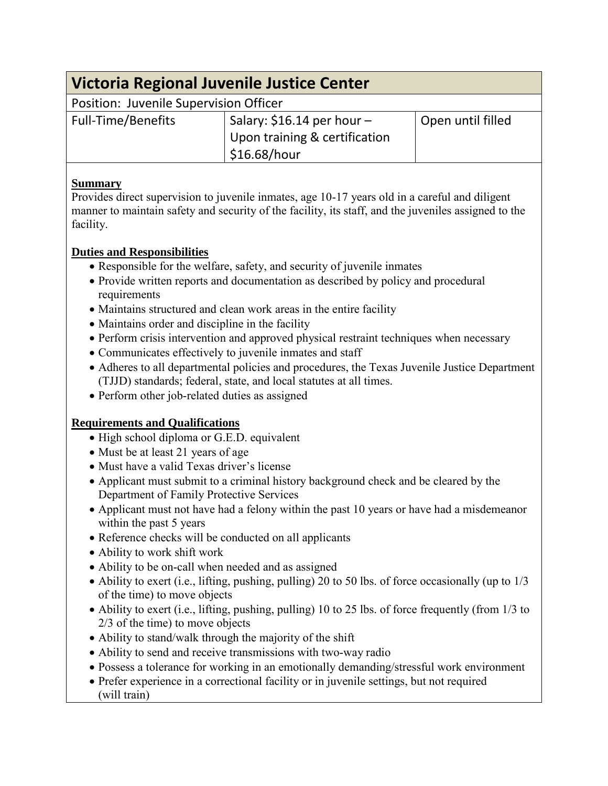# **Victoria Regional Juvenile Justice Center** Position: Juvenile Supervision Officer

| <b>Full-Time/Benefits</b> | Salary: $$16.14$ per hour -   | Open until filled |
|---------------------------|-------------------------------|-------------------|
|                           | Upon training & certification |                   |
|                           | \$16.68/hour                  |                   |

## **Summary**

Provides direct supervision to juvenile inmates, age 10-17 years old in a careful and diligent manner to maintain safety and security of the facility, its staff, and the juveniles assigned to the facility.

## **Duties and Responsibilities**

- Responsible for the welfare, safety, and security of juvenile inmates
- Provide written reports and documentation as described by policy and procedural requirements
- Maintains structured and clean work areas in the entire facility
- Maintains order and discipline in the facility
- Perform crisis intervention and approved physical restraint techniques when necessary
- Communicates effectively to juvenile inmates and staff
- Adheres to all departmental policies and procedures, the Texas Juvenile Justice Department (TJJD) standards; federal, state, and local statutes at all times.
- Perform other job-related duties as assigned

# **Requirements and Qualifications**

- High school diploma or G.E.D. equivalent
- Must be at least 21 years of age
- Must have a valid Texas driver's license
- Applicant must submit to a criminal history background check and be cleared by the Department of Family Protective Services
- Applicant must not have had a felony within the past 10 years or have had a misdemeanor within the past 5 years
- Reference checks will be conducted on all applicants
- Ability to work shift work
- Ability to be on-call when needed and as assigned
- Ability to exert (i.e., lifting, pushing, pulling) 20 to 50 lbs. of force occasionally (up to 1/3 of the time) to move objects
- Ability to exert (i.e., lifting, pushing, pulling) 10 to 25 lbs. of force frequently (from 1/3 to 2/3 of the time) to move objects
- Ability to stand/walk through the majority of the shift
- Ability to send and receive transmissions with two-way radio
- Possess a tolerance for working in an emotionally demanding/stressful work environment
- Prefer experience in a correctional facility or in juvenile settings, but not required (will train)